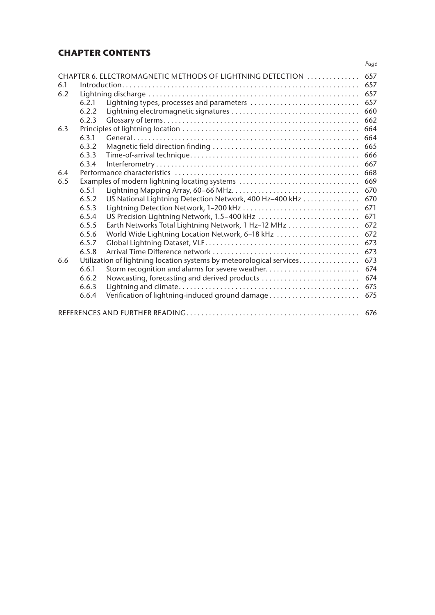# **CHAPTER CONTENTS**

|     |                                                                      |                                                         | Page |  |  |  |
|-----|----------------------------------------------------------------------|---------------------------------------------------------|------|--|--|--|
|     | CHAPTER 6. ELECTROMAGNETIC METHODS OF LIGHTNING DETECTION            |                                                         |      |  |  |  |
| 6.1 |                                                                      |                                                         |      |  |  |  |
| 6.2 |                                                                      |                                                         |      |  |  |  |
|     | 6.2.1                                                                | Lightning types, processes and parameters               | 657  |  |  |  |
|     | 6.2.2                                                                |                                                         | 660  |  |  |  |
|     | 6.2.3                                                                |                                                         | 662  |  |  |  |
| 6.3 |                                                                      |                                                         |      |  |  |  |
|     | 6.3.1                                                                |                                                         | 664  |  |  |  |
|     | 6.3.2                                                                |                                                         | 665  |  |  |  |
|     | 6.3.3                                                                |                                                         | 666  |  |  |  |
|     | 6.3.4                                                                |                                                         | 667  |  |  |  |
| 6.4 |                                                                      |                                                         |      |  |  |  |
| 6.5 | Examples of modern lightning locating systems                        |                                                         |      |  |  |  |
|     | 6.5.1                                                                |                                                         | 670  |  |  |  |
|     | 6.5.2                                                                | US National Lightning Detection Network, 400 Hz-400 kHz | 670  |  |  |  |
|     | 6.5.3                                                                |                                                         | 671  |  |  |  |
|     | 6.5.4                                                                | US Precision Lightning Network, 1.5-400 kHz             | 671  |  |  |  |
|     | 6.5.5                                                                | Earth Networks Total Lightning Network, 1 Hz-12 MHz     | 672  |  |  |  |
|     | 6.5.6                                                                | World Wide Lightning Location Network, 6-18 kHz         | 672  |  |  |  |
|     | 6.5.7                                                                |                                                         | 673  |  |  |  |
|     | 6.5.8                                                                |                                                         | 673  |  |  |  |
| 6.6 | Utilization of lightning location systems by meteorological services |                                                         |      |  |  |  |
|     | 6.6.1                                                                | Storm recognition and alarms for severe weather         | 674  |  |  |  |
|     | 6.6.2                                                                | Nowcasting, forecasting and derived products            | 674  |  |  |  |
|     | 6.6.3                                                                |                                                         | 675  |  |  |  |
|     | 6.6.4                                                                | Verification of lightning-induced ground damage         | 675  |  |  |  |
| 676 |                                                                      |                                                         |      |  |  |  |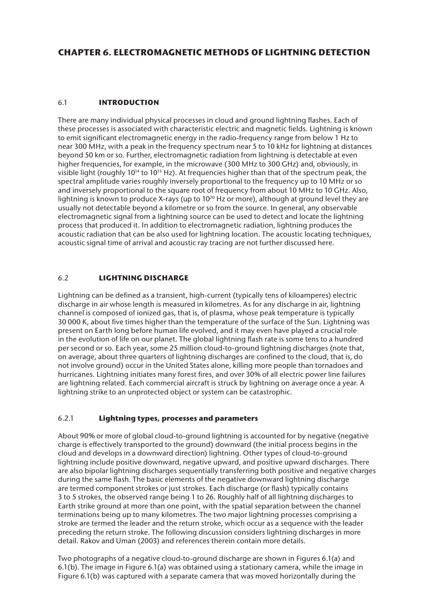# **CHAPTER 6. ELECTROMAGNETIC METHODS OF LIGHTNING DETECTION**

# 6.1 **INTRODUCTION**

There are many individual physical processes in cloud and ground lightning flashes. Each of these processes is associated with characteristic electric and magnetic fields. Lightning is known to emit significant electromagnetic energy in the radio-frequency range from below 1 Hz to near 300 MHz, with a peak in the frequency spectrum near 5 to 10 kHz for lightning at distances beyond 50 km or so. Further, electromagnetic radiation from lightning is detectable at even higher frequencies, for example, in the microwave (300 MHz to 300 GHz) and, obviously, in visible light (roughly  $10^{14}$  to  $10^{15}$  Hz). At frequencies higher than that of the spectrum peak, the spectral amplitude varies roughly inversely proportional to the frequency up to 10 MHz or so and inversely proportional to the square root of frequency from about 10 MHz to 10 GHz. Also, lightning is known to produce X-rays (up to  $10^{20}$  Hz or more), although at ground level they are usually not detectable beyond a kilometre or so from the source. In general, any observable electromagnetic signal from a lightning source can be used to detect and locate the lightning process that produced it. In addition to electromagnetic radiation, lightning produces the acoustic radiation that can be also used for lightning location. The acoustic locating techniques, acoustic signal time of arrival and acoustic ray tracing are not further discussed here.

# 6.2 **LIGHTNING DISCHARGE**

Lightning can be defined as a transient, high-current (typically tens of kiloamperes) electric discharge in air whose length is measured in kilometres. As for any discharge in air, lightning channel is composed of ionized gas, that is, of plasma, whose peak temperature is typically 30 000 K, about five times higher than the temperature of the surface of the Sun. Lightning was present on Earth long before human life evolved, and it may even have played a crucial role in the evolution of life on our planet. The global lightning flash rate is some tens to a hundred per second or so. Each year, some 25 million cloud-to-ground lightning discharges (note that, on average, about three quarters of lightning discharges are confined to the cloud, that is, do not involve ground) occur in the United States alone, killing more people than tornadoes and hurricanes. Lightning initiates many forest fires, and over 30% of all electric power line failures are lightning related. Each commercial aircraft is struck by lightning on average once a year. A lightning strike to an unprotected object or system can be catastrophic.

## 6.2.1 **Lightning types, processes and parameters**

About 90% or more of global cloud-to-ground lightning is accounted for by negative (negative charge is effectively transported to the ground) downward (the initial process begins in the cloud and develops in a downward direction) lightning. Other types of cloud-to-ground lightning include positive downward, negative upward, and positive upward discharges. There are also bipolar lightning discharges sequentially transferring both positive and negative charges during the same flash. The basic elements of the negative downward lightning discharge are termed component strokes or just strokes. Each discharge (or flash) typically contains 3 to 5 strokes, the observed range being 1 to 26. Roughly half of all lightning discharges to Earth strike ground at more than one point, with the spatial separation between the channel terminations being up to many kilometres. The two major lightning processes comprising a stroke are termed the leader and the return stroke, which occur as a sequence with the leader preceding the return stroke. The following discussion considers lightning discharges in more detail. Rakov and Uman (2003) and references therein contain more details.

Two photographs of a negative cloud-to-ground discharge are shown in Figures 6.1(a) and 6.1(b). The image in Figure 6.1(a) was obtained using a stationary camera, while the image in Figure 6.1(b) was captured with a separate camera that was moved horizontally during the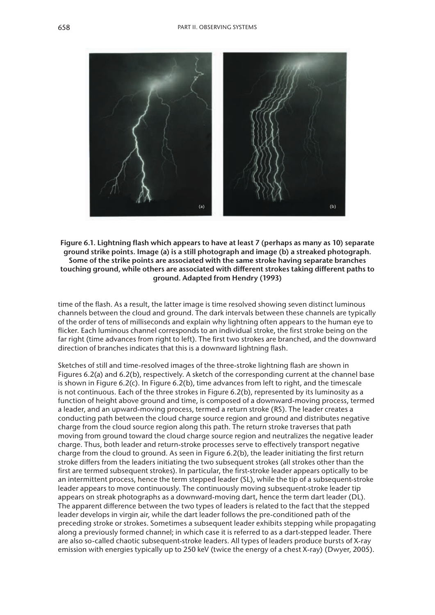

**Figure 6.1. Lightning flash which appears to have at least 7 (perhaps as many as 10) separate ground strike points. Image (a) is a still photograph and image (b) a streaked photograph. Some of the strike points are associated with the same stroke having separate branches touching ground, while others are associated with different strokes taking different paths to ground. Adapted from Hendry (1993)**

time of the flash. As a result, the latter image is time resolved showing seven distinct luminous channels between the cloud and ground. The dark intervals between these channels are typically of the order of tens of milliseconds and explain why lightning often appears to the human eye to flicker. Each luminous channel corresponds to an individual stroke, the first stroke being on the far right (time advances from right to left). The first two strokes are branched, and the downward direction of branches indicates that this is a downward lightning flash.

Sketches of still and time-resolved images of the three-stroke lightning flash are shown in Figures 6.2(a) and 6.2(b), respectively. A sketch of the corresponding current at the channel base is shown in Figure 6.2(c). In Figure 6.2(b), time advances from left to right, and the timescale is not continuous. Each of the three strokes in Figure 6.2(b), represented by its luminosity as a function of height above ground and time, is composed of a downward-moving process, termed a leader, and an upward-moving process, termed a return stroke (RS). The leader creates a conducting path between the cloud charge source region and ground and distributes negative charge from the cloud source region along this path. The return stroke traverses that path moving from ground toward the cloud charge source region and neutralizes the negative leader charge. Thus, both leader and return-stroke processes serve to effectively transport negative charge from the cloud to ground. As seen in Figure 6.2(b), the leader initiating the first return stroke differs from the leaders initiating the two subsequent strokes (all strokes other than the first are termed subsequent strokes). In particular, the first-stroke leader appears optically to be an intermittent process, hence the term stepped leader (SL), while the tip of a subsequent-stroke leader appears to move continuously. The continuously moving subsequent-stroke leader tip appears on streak photographs as a downward-moving dart, hence the term dart leader (DL). The apparent difference between the two types of leaders is related to the fact that the stepped leader develops in virgin air, while the dart leader follows the pre-conditioned path of the preceding stroke or strokes. Sometimes a subsequent leader exhibits stepping while propagating along a previously formed channel; in which case it is referred to as a dart-stepped leader. There are also so-called chaotic subsequent-stroke leaders. All types of leaders produce bursts of X-ray emission with energies typically up to 250 keV (twice the energy of a chest X-ray) (Dwyer, 2005).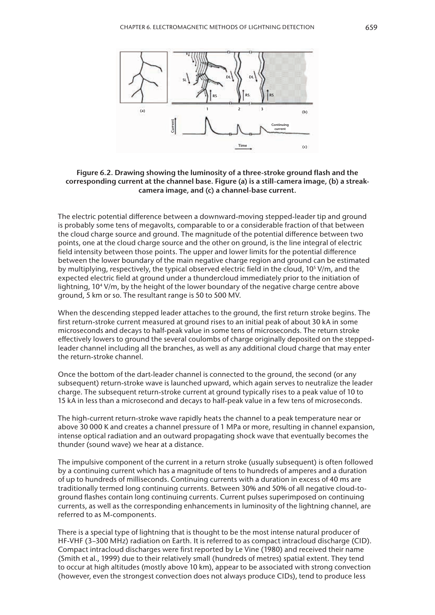

### **Figure 6.2. Drawing showing the luminosity of a three-stroke ground flash and the corresponding current at the channel base. Figure (a) is a still-camera image, (b) a streakcamera image, and (c) a channel-base current.**

The electric potential difference between a downward-moving stepped-leader tip and ground is probably some tens of megavolts, comparable to or a considerable fraction of that between the cloud charge source and ground. The magnitude of the potential difference between two points, one at the cloud charge source and the other on ground, is the line integral of electric field intensity between those points. The upper and lower limits for the potential difference between the lower boundary of the main negative charge region and ground can be estimated by multiplying, respectively, the typical observed electric field in the cloud, 10<sup>5</sup> V/m, and the expected electric field at ground under a thundercloud immediately prior to the initiation of lightning, 104 V/m, by the height of the lower boundary of the negative charge centre above ground, 5 km or so. The resultant range is 50 to 500 MV.

When the descending stepped leader attaches to the ground, the first return stroke begins. The first return-stroke current measured at ground rises to an initial peak of about 30 kA in some microseconds and decays to half-peak value in some tens of microseconds. The return stroke effectively lowers to ground the several coulombs of charge originally deposited on the steppedleader channel including all the branches, as well as any additional cloud charge that may enter the return-stroke channel.

Once the bottom of the dart-leader channel is connected to the ground, the second (or any subsequent) return-stroke wave is launched upward, which again serves to neutralize the leader charge. The subsequent return-stroke current at ground typically rises to a peak value of 10 to 15 kA in less than a microsecond and decays to half-peak value in a few tens of microseconds.

The high-current return-stroke wave rapidly heats the channel to a peak temperature near or above 30 000 K and creates a channel pressure of 1 MPa or more, resulting in channel expansion, intense optical radiation and an outward propagating shock wave that eventually becomes the thunder (sound wave) we hear at a distance.

The impulsive component of the current in a return stroke (usually subsequent) is often followed by a continuing current which has a magnitude of tens to hundreds of amperes and a duration of up to hundreds of milliseconds. Continuing currents with a duration in excess of 40 ms are traditionally termed long continuing currents. Between 30% and 50% of all negative cloud-toground flashes contain long continuing currents. Current pulses superimposed on continuing currents, as well as the corresponding enhancements in luminosity of the lightning channel, are referred to as M-components.

There is a special type of lightning that is thought to be the most intense natural producer of HF-VHF (3–300 MHz) radiation on Earth. It is referred to as compact intracloud discharge (CID). Compact intracloud discharges were first reported by Le Vine (1980) and received their name (Smith et al., 1999) due to their relatively small (hundreds of metres) spatial extent. They tend to occur at high altitudes (mostly above 10 km), appear to be associated with strong convection (however, even the strongest convection does not always produce CIDs), tend to produce less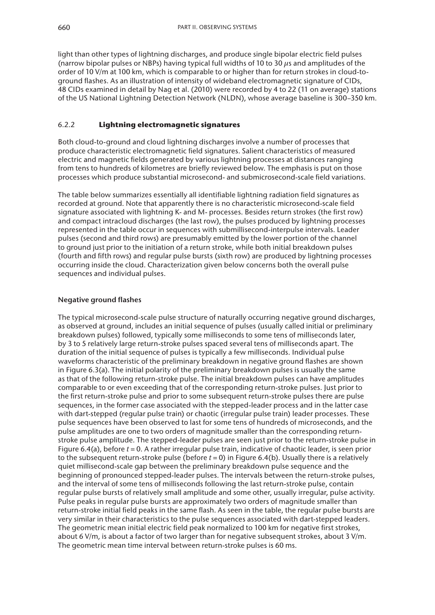light than other types of lightning discharges, and produce single bipolar electric field pulses (narrow bipolar pulses or NBPs) having typical full widths of 10 to 30 *µ*s and amplitudes of the order of 10 V/m at 100 km, which is comparable to or higher than for return strokes in cloud-toground flashes. As an illustration of intensity of wideband electromagnetic signature of CIDs, 48 CIDs examined in detail by Nag et al. (2010) were recorded by 4 to 22 (11 on average) stations of the US National Lightning Detection Network (NLDN), whose average baseline is 300–350 km.

# 6.2.2 **Lightning electromagnetic signatures**

Both cloud-to-ground and cloud lightning discharges involve a number of processes that produce characteristic electromagnetic field signatures. Salient characteristics of measured electric and magnetic fields generated by various lightning processes at distances ranging from tens to hundreds of kilometres are briefly reviewed below. The emphasis is put on those processes which produce substantial microsecond- and submicrosecond-scale field variations.

The table below summarizes essentially all identifiable lightning radiation field signatures as recorded at ground. Note that apparently there is no characteristic microsecond-scale field signature associated with lightning K- and M- processes. Besides return strokes (the first row) and compact intracloud discharges (the last row), the pulses produced by lightning processes represented in the table occur in sequences with submillisecond-interpulse intervals. Leader pulses (second and third rows) are presumably emitted by the lower portion of the channel to ground just prior to the initiation of a return stroke, while both initial breakdown pulses (fourth and fifth rows) and regular pulse bursts (sixth row) are produced by lightning processes occurring inside the cloud. Characterization given below concerns both the overall pulse sequences and individual pulses.

# **Negative ground flashes**

The typical microsecond-scale pulse structure of naturally occurring negative ground discharges, as observed at ground, includes an initial sequence of pulses (usually called initial or preliminary breakdown pulses) followed, typically some milliseconds to some tens of milliseconds later, by 3 to 5 relatively large return-stroke pulses spaced several tens of milliseconds apart. The duration of the initial sequence of pulses is typically a few milliseconds. Individual pulse waveforms characteristic of the preliminary breakdown in negative ground flashes are shown in Figure 6.3(a). The initial polarity of the preliminary breakdown pulses is usually the same as that of the following return-stroke pulse. The initial breakdown pulses can have amplitudes comparable to or even exceeding that of the corresponding return-stroke pulses. Just prior to the first return-stroke pulse and prior to some subsequent return-stroke pulses there are pulse sequences, in the former case associated with the stepped-leader process and in the latter case with dart-stepped (regular pulse train) or chaotic (irregular pulse train) leader processes. These pulse sequences have been observed to last for some tens of hundreds of microseconds, and the pulse amplitudes are one to two orders of magnitude smaller than the corresponding returnstroke pulse amplitude. The stepped-leader pulses are seen just prior to the return-stroke pulse in Figure 6.4(a), before *t* = 0. A rather irregular pulse train, indicative of chaotic leader, is seen prior to the subsequent return-stroke pulse (before *t* = 0) in Figure 6.4(b). Usually there is a relatively quiet millisecond-scale gap between the preliminary breakdown pulse sequence and the beginning of pronounced stepped-leader pulses. The intervals between the return-stroke pulses, and the interval of some tens of milliseconds following the last return-stroke pulse, contain regular pulse bursts of relatively small amplitude and some other, usually irregular, pulse activity. Pulse peaks in regular pulse bursts are approximately two orders of magnitude smaller than return-stroke initial field peaks in the same flash. As seen in the table, the regular pulse bursts are very similar in their characteristics to the pulse sequences associated with dart-stepped leaders. The geometric mean initial electric field peak normalized to 100 km for negative first strokes, about 6 V/m, is about a factor of two larger than for negative subsequent strokes, about 3 V/m. The geometric mean time interval between return-stroke pulses is 60 ms.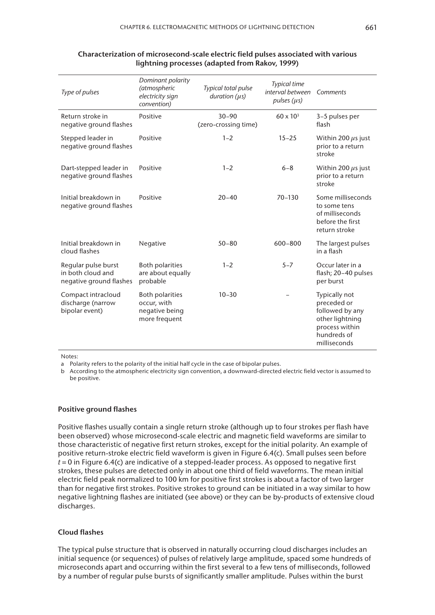| Type of pulses                                                      | Dominant polarity<br>(atmospheric<br>electricity sign<br>convention)     | Typical total pulse<br>duration $(\mu s)$ | <b>Typical time</b><br>interval between<br>pulses $(\mu s)$ | Comments                                                                                                            |
|---------------------------------------------------------------------|--------------------------------------------------------------------------|-------------------------------------------|-------------------------------------------------------------|---------------------------------------------------------------------------------------------------------------------|
| Return stroke in<br>negative ground flashes                         | Positive                                                                 | $30 - 90$<br>(zero-crossing time)         | $60 \times 10^{3}$                                          | 3-5 pulses per<br>flash                                                                                             |
| Stepped leader in<br>negative ground flashes                        | Positive                                                                 | $1 - 2$                                   | $15 - 25$                                                   | Within 200 $\mu$ s just<br>prior to a return<br>stroke                                                              |
| Dart-stepped leader in<br>negative ground flashes                   | Positive                                                                 | $1 - 2$                                   | $6 - 8$                                                     | Within 200 $\mu$ s just<br>prior to a return<br>stroke                                                              |
| Initial breakdown in<br>negative ground flashes                     | Positive                                                                 | $20 - 40$                                 | $70 - 130$                                                  | Some milliseconds<br>to some tens<br>of milliseconds<br>before the first<br>return stroke                           |
| Initial breakdown in<br>cloud flashes                               | Negative                                                                 | $50 - 80$                                 | 600-800                                                     | The largest pulses<br>in a flash                                                                                    |
| Regular pulse burst<br>in both cloud and<br>negative ground flashes | <b>Both polarities</b><br>are about equally<br>probable                  | $1 - 2$                                   | $5 - 7$                                                     | Occur later in a<br>flash; 20-40 pulses<br>per burst                                                                |
| Compact intracloud<br>discharge (narrow<br>bipolar event)           | <b>Both polarities</b><br>occur, with<br>negative being<br>more frequent | $10 - 30$                                 |                                                             | Typically not<br>preceded or<br>followed by any<br>other lightning<br>process within<br>hundreds of<br>milliseconds |

#### **Characterization of microsecond-scale electric field pulses associated with various lightning processes (adapted from Rakov, 1999)**

Notes:

a Polarity refers to the polarity of the initial half cycle in the case of bipolar pulses.

b According to the atmospheric electricity sign convention, a downward-directed electric field vector is assumed to be positive.

#### **Positive ground flashes**

Positive flashes usually contain a single return stroke (although up to four strokes per flash have been observed) whose microsecond-scale electric and magnetic field waveforms are similar to those characteristic of negative first return strokes, except for the initial polarity. An example of positive return-stroke electric field waveform is given in Figure 6.4(c). Small pulses seen before *t* = 0 in Figure 6.4(c) are indicative of a stepped-leader process. As opposed to negative first strokes, these pulses are detected only in about one third of field waveforms. The mean initial electric field peak normalized to 100 km for positive first strokes is about a factor of two larger than for negative first strokes. Positive strokes to ground can be initiated in a way similar to how negative lightning flashes are initiated (see above) or they can be by-products of extensive cloud discharges.

### **Cloud flashes**

The typical pulse structure that is observed in naturally occurring cloud discharges includes an initial sequence (or sequences) of pulses of relatively large amplitude, spaced some hundreds of microseconds apart and occurring within the first several to a few tens of milliseconds, followed by a number of regular pulse bursts of significantly smaller amplitude. Pulses within the burst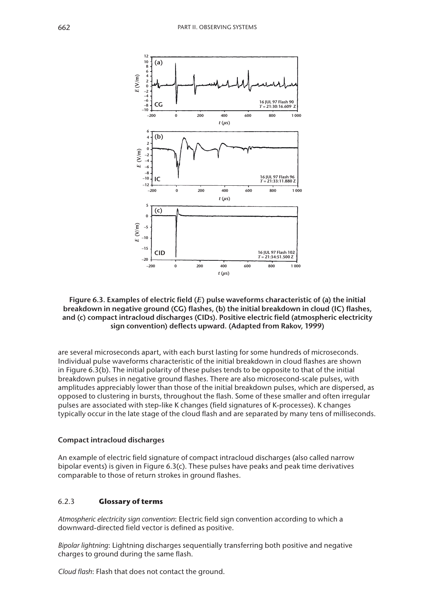

### **Figure 6.3. Examples of electric field (***E***) pulse waveforms characteristic of (a) the initial breakdown in negative ground (CG) flashes, (b) the initial breakdown in cloud (IC) flashes, and (c) compact intracloud discharges (CIDs). Positive electric field (atmospheric electricity sign convention) deflects upward. (Adapted from Rakov, 1999)**

are several microseconds apart, with each burst lasting for some hundreds of microseconds. Individual pulse waveforms characteristic of the initial breakdown in cloud flashes are shown in Figure 6.3(b). The initial polarity of these pulses tends to be opposite to that of the initial breakdown pulses in negative ground flashes. There are also microsecond-scale pulses, with amplitudes appreciably lower than those of the initial breakdown pulses, which are dispersed, as opposed to clustering in bursts, throughout the flash. Some of these smaller and often irregular pulses are associated with step-like K changes (field signatures of K-processes). K changes typically occur in the late stage of the cloud flash and are separated by many tens of milliseconds.

#### **Compact intracloud discharges**

An example of electric field signature of compact intracloud discharges (also called narrow bipolar events) is given in Figure 6.3(c). These pulses have peaks and peak time derivatives comparable to those of return strokes in ground flashes.

### 6.2.3 **Glossary of terms**

*Atmospheric electricity sign convention*: Electric field sign convention according to which a downward-directed field vector is defined as positive.

*Bipolar lightning*: Lightning discharges sequentially transferring both positive and negative charges to ground during the same flash.

*Cloud flash*: Flash that does not contact the ground.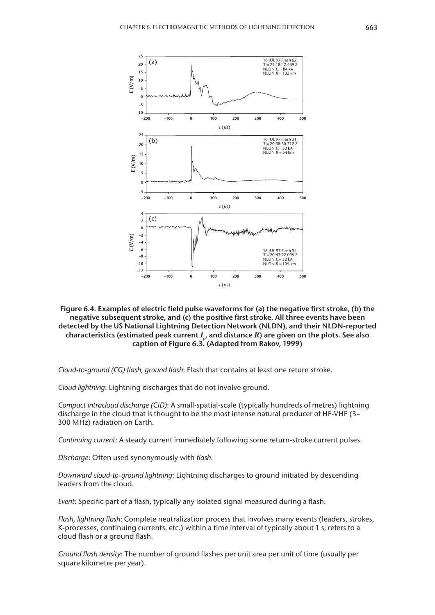

### **Figure 6.4. Examples of electric field pulse waveforms for (a) the negative first stroke, (b) the negative subsequent stroke, and (c) the positive first stroke. All three events have been detected by the US National Lightning Detection Network (NLDN), and their NLDN-reported**  characteristics (estimated peak current  $I_{p'}$  and distance  $R$ ) are given on the plots. See also **caption of Figure 6.3. (Adapted from Rakov, 1999)**

*Cloud-to-ground (CG) flash, ground flash*: Flash that contains at least one return stroke.

*Cloud lightning*: Lightning discharges that do not involve ground.

*Compact intracloud discharge (CID)*: A small-spatial-scale (typically hundreds of metres) lightning discharge in the cloud that is thought to be the most intense natural producer of HF-VHF (3– 300 MHz) radiation on Earth.

*Continuing current*: A steady current immediately following some return-stroke current pulses.

*Discharge*: Often used synonymously with *flash*.

*Downward cloud-to-ground lightning*: Lightning discharges to ground initiated by descending leaders from the cloud.

*Event*: Specific part of a flash, typically any isolated signal measured during a flash.

*Flash, lightning flash*: Complete neutralization process that involves many events (leaders, strokes, K-processes, continuing currents, etc.) within a time interval of typically about 1 s; refers to a cloud flash or a ground flash.

*Ground flash density*: The number of ground flashes per unit area per unit of time (usually per square kilometre per year).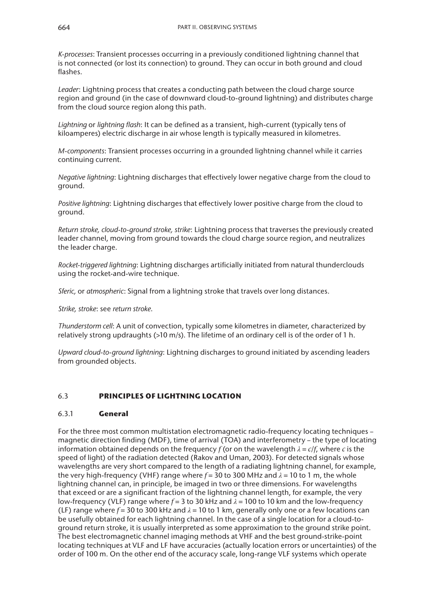*K-processes*: Transient processes occurring in a previously conditioned lightning channel that is not connected (or lost its connection) to ground. They can occur in both ground and cloud flashes.

*Leader*: Lightning process that creates a conducting path between the cloud charge source region and ground (in the case of downward cloud-to-ground lightning) and distributes charge from the cloud source region along this path.

*Lightning* or *lightning flash*: It can be defined as a transient, high-current (typically tens of kiloamperes) electric discharge in air whose length is typically measured in kilometres.

*M-components*: Transient processes occurring in a grounded lightning channel while it carries continuing current.

*Negative lightning*: Lightning discharges that effectively lower negative charge from the cloud to ground.

*Positive lightning*: Lightning discharges that effectively lower positive charge from the cloud to ground.

*Return stroke, cloud-to-ground stroke, strike*: Lightning process that traverses the previously created leader channel, moving from ground towards the cloud charge source region, and neutralizes the leader charge.

*Rocket-triggered lightning*: Lightning discharges artificially initiated from natural thunderclouds using the rocket-and-wire technique.

*Sferic,* or *atmospheric*: Signal from a lightning stroke that travels over long distances.

*Strike, stroke*: see *return stroke*.

*Thunderstorm cell*: A unit of convection, typically some kilometres in diameter, characterized by relatively strong updraughts (>10 m/s). The lifetime of an ordinary cell is of the order of 1 h.

*Upward cloud-to-ground lightning*: Lightning discharges to ground initiated by ascending leaders from grounded objects.

# 6.3 **PRINCIPLES OF LIGHTNING LOCATION**

## 6.3.1 **General**

For the three most common multistation electromagnetic radio-frequency locating techniques – magnetic direction finding (MDF), time of arrival (TOA) and interferometry – the type of locating information obtained depends on the frequency  $f$  (or on the wavelength  $\lambda = c/f$ , where  $c$  is the speed of light) of the radiation detected (Rakov and Uman, 2003). For detected signals whose wavelengths are very short compared to the length of a radiating lightning channel, for example, the very high-frequency (VHF) range where  $f = 30$  to 300 MHz and  $\lambda = 10$  to 1 m, the whole lightning channel can, in principle, be imaged in two or three dimensions. For wavelengths that exceed or are a significant fraction of the lightning channel length, for example, the very low-frequency (VLF) range where *f* = 3 to 30 kHz and *λ* = 100 to 10 km and the low-frequency (LF) range where  $f = 30$  to 300 kHz and  $\lambda = 10$  to 1 km, generally only one or a few locations can be usefully obtained for each lightning channel. In the case of a single location for a cloud-toground return stroke, it is usually interpreted as some approximation to the ground strike point. The best electromagnetic channel imaging methods at VHF and the best ground-strike-point locating techniques at VLF and LF have accuracies (actually location errors or uncertainties) of the order of 100 m. On the other end of the accuracy scale, long-range VLF systems which operate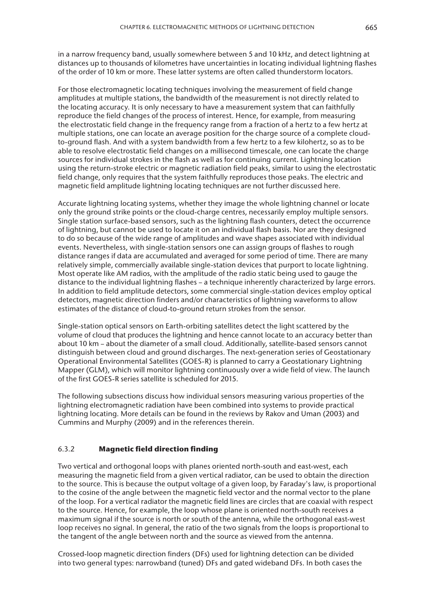in a narrow frequency band, usually somewhere between 5 and 10 kHz, and detect lightning at distances up to thousands of kilometres have uncertainties in locating individual lightning flashes of the order of 10 km or more. These latter systems are often called thunderstorm locators.

For those electromagnetic locating techniques involving the measurement of field change amplitudes at multiple stations, the bandwidth of the measurement is not directly related to the locating accuracy. It is only necessary to have a measurement system that can faithfully reproduce the field changes of the process of interest. Hence, for example, from measuring the electrostatic field change in the frequency range from a fraction of a hertz to a few hertz at multiple stations, one can locate an average position for the charge source of a complete cloudto-ground flash. And with a system bandwidth from a few hertz to a few kilohertz, so as to be able to resolve electrostatic field changes on a millisecond timescale, one can locate the charge sources for individual strokes in the flash as well as for continuing current. Lightning location using the return-stroke electric or magnetic radiation field peaks, similar to using the electrostatic field change, only requires that the system faithfully reproduces those peaks. The electric and magnetic field amplitude lightning locating techniques are not further discussed here.

Accurate lightning locating systems, whether they image the whole lightning channel or locate only the ground strike points or the cloud-charge centres, necessarily employ multiple sensors. Single station surface-based sensors, such as the lightning flash counters, detect the occurrence of lightning, but cannot be used to locate it on an individual flash basis. Nor are they designed to do so because of the wide range of amplitudes and wave shapes associated with individual events. Nevertheless, with single-station sensors one can assign groups of flashes to rough distance ranges if data are accumulated and averaged for some period of time. There are many relatively simple, commercially available single-station devices that purport to locate lightning. Most operate like AM radios, with the amplitude of the radio static being used to gauge the distance to the individual lightning flashes – a technique inherently characterized by large errors. In addition to field amplitude detectors, some commercial single-station devices employ optical detectors, magnetic direction finders and/or characteristics of lightning waveforms to allow estimates of the distance of cloud-to-ground return strokes from the sensor.

Single-station optical sensors on Earth-orbiting satellites detect the light scattered by the volume of cloud that produces the lightning and hence cannot locate to an accuracy better than about 10 km – about the diameter of a small cloud. Additionally, satellite-based sensors cannot distinguish between cloud and ground discharges. The next-generation series of Geostationary Operational Environmental Satellites (GOES-R) is planned to carry a Geostationary Lightning Mapper (GLM), which will monitor lightning continuously over a wide field of view. The launch of the first GOES-R series satellite is scheduled for 2015.

The following subsections discuss how individual sensors measuring various properties of the lightning electromagnetic radiation have been combined into systems to provide practical lightning locating. More details can be found in the reviews by Rakov and Uman (2003) and Cummins and Murphy (2009) and in the references therein.

## 6.3.2 **Magnetic field direction finding**

Two vertical and orthogonal loops with planes oriented north-south and east-west, each measuring the magnetic field from a given vertical radiator, can be used to obtain the direction to the source. This is because the output voltage of a given loop, by Faraday's law, is proportional to the cosine of the angle between the magnetic field vector and the normal vector to the plane of the loop. For a vertical radiator the magnetic field lines are circles that are coaxial with respect to the source. Hence, for example, the loop whose plane is oriented north-south receives a maximum signal if the source is north or south of the antenna, while the orthogonal east-west loop receives no signal. In general, the ratio of the two signals from the loops is proportional to the tangent of the angle between north and the source as viewed from the antenna.

Crossed-loop magnetic direction finders (DFs) used for lightning detection can be divided into two general types: narrowband (tuned) DFs and gated wideband DFs. In both cases the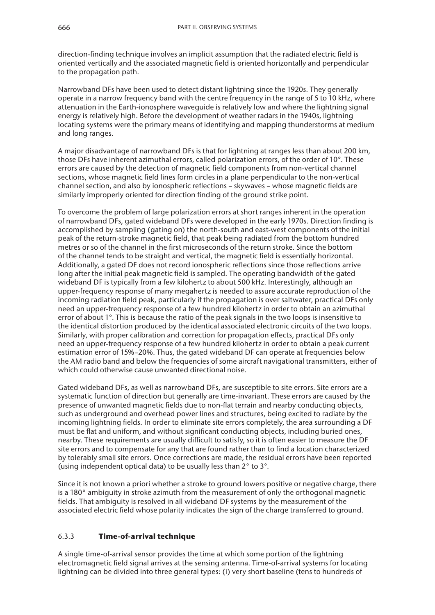direction-finding technique involves an implicit assumption that the radiated electric field is oriented vertically and the associated magnetic field is oriented horizontally and perpendicular to the propagation path.

Narrowband DFs have been used to detect distant lightning since the 1920s. They generally operate in a narrow frequency band with the centre frequency in the range of 5 to 10 kHz, where attenuation in the Earth-ionosphere waveguide is relatively low and where the lightning signal energy is relatively high. Before the development of weather radars in the 1940s, lightning locating systems were the primary means of identifying and mapping thunderstorms at medium and long ranges.

A major disadvantage of narrowband DFs is that for lightning at ranges less than about 200 km, those DFs have inherent azimuthal errors, called polarization errors, of the order of 10°. These errors are caused by the detection of magnetic field components from non-vertical channel sections, whose magnetic field lines form circles in a plane perpendicular to the non-vertical channel section, and also by ionospheric reflections – skywaves – whose magnetic fields are similarly improperly oriented for direction finding of the ground strike point.

To overcome the problem of large polarization errors at short ranges inherent in the operation of narrowband DFs, gated wideband DFs were developed in the early 1970s. Direction finding is accomplished by sampling (gating on) the north-south and east-west components of the initial peak of the return-stroke magnetic field, that peak being radiated from the bottom hundred metres or so of the channel in the first microseconds of the return stroke. Since the bottom of the channel tends to be straight and vertical, the magnetic field is essentially horizontal. Additionally, a gated DF does not record ionospheric reflections since those reflections arrive long after the initial peak magnetic field is sampled. The operating bandwidth of the gated wideband DF is typically from a few kilohertz to about 500 kHz. Interestingly, although an upper-frequency response of many megahertz is needed to assure accurate reproduction of the incoming radiation field peak, particularly if the propagation is over saltwater, practical DFs only need an upper-frequency response of a few hundred kilohertz in order to obtain an azimuthal error of about 1°. This is because the ratio of the peak signals in the two loops is insensitive to the identical distortion produced by the identical associated electronic circuits of the two loops. Similarly, with proper calibration and correction for propagation effects, practical DFs only need an upper-frequency response of a few hundred kilohertz in order to obtain a peak current estimation error of 15%–20%. Thus, the gated wideband DF can operate at frequencies below the AM radio band and below the frequencies of some aircraft navigational transmitters, either of which could otherwise cause unwanted directional noise.

Gated wideband DFs, as well as narrowband DFs, are susceptible to site errors. Site errors are a systematic function of direction but generally are time-invariant. These errors are caused by the presence of unwanted magnetic fields due to non-flat terrain and nearby conducting objects, such as underground and overhead power lines and structures, being excited to radiate by the incoming lightning fields. In order to eliminate site errors completely, the area surrounding a DF must be flat and uniform, and without significant conducting objects, including buried ones, nearby. These requirements are usually difficult to satisfy, so it is often easier to measure the DF site errors and to compensate for any that are found rather than to find a location characterized by tolerably small site errors. Once corrections are made, the residual errors have been reported (using independent optical data) to be usually less than 2° to 3°.

Since it is not known a priori whether a stroke to ground lowers positive or negative charge, there is a 180° ambiguity in stroke azimuth from the measurement of only the orthogonal magnetic fields. That ambiguity is resolved in all wideband DF systems by the measurement of the associated electric field whose polarity indicates the sign of the charge transferred to ground.

# 6.3.3 **Time-of-arrival technique**

A single time-of-arrival sensor provides the time at which some portion of the lightning electromagnetic field signal arrives at the sensing antenna. Time-of-arrival systems for locating lightning can be divided into three general types: (i) very short baseline (tens to hundreds of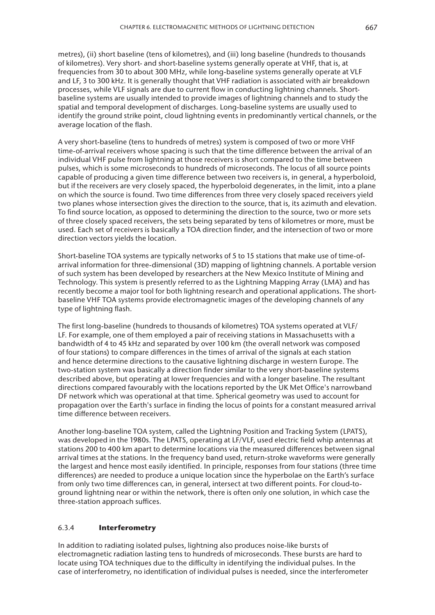metres), (ii) short baseline (tens of kilometres), and (iii) long baseline (hundreds to thousands of kilometres). Very short- and short-baseline systems generally operate at VHF, that is, at frequencies from 30 to about 300 MHz, while long-baseline systems generally operate at VLF and LF, 3 to 300 kHz. It is generally thought that VHF radiation is associated with air breakdown processes, while VLF signals are due to current flow in conducting lightning channels. Shortbaseline systems are usually intended to provide images of lightning channels and to study the spatial and temporal development of discharges. Long-baseline systems are usually used to identify the ground strike point, cloud lightning events in predominantly vertical channels, or the average location of the flash.

A very short-baseline (tens to hundreds of metres) system is composed of two or more VHF time-of-arrival receivers whose spacing is such that the time difference between the arrival of an individual VHF pulse from lightning at those receivers is short compared to the time between pulses, which is some microseconds to hundreds of microseconds. The locus of all source points capable of producing a given time difference between two receivers is, in general, a hyperboloid, but if the receivers are very closely spaced, the hyperboloid degenerates, in the limit, into a plane on which the source is found. Two time differences from three very closely spaced receivers yield two planes whose intersection gives the direction to the source, that is, its azimuth and elevation. To find source location, as opposed to determining the direction to the source, two or more sets of three closely spaced receivers, the sets being separated by tens of kilometres or more, must be used. Each set of receivers is basically a TOA direction finder, and the intersection of two or more direction vectors yields the location.

Short-baseline TOA systems are typically networks of 5 to 15 stations that make use of time-ofarrival information for three-dimensional (3D) mapping of lightning channels. A portable version of such system has been developed by researchers at the New Mexico Institute of Mining and Technology. This system is presently referred to as the Lightning Mapping Array (LMA) and has recently become a major tool for both lightning research and operational applications. The shortbaseline VHF TOA systems provide electromagnetic images of the developing channels of any type of lightning flash.

The first long-baseline (hundreds to thousands of kilometres) TOA systems operated at VLF/ LF. For example, one of them employed a pair of receiving stations in Massachusetts with a bandwidth of 4 to 45 kHz and separated by over 100 km (the overall network was composed of four stations) to compare differences in the times of arrival of the signals at each station and hence determine directions to the causative lightning discharge in western Europe. The two-station system was basically a direction finder similar to the very short-baseline systems described above, but operating at lower frequencies and with a longer baseline. The resultant directions compared favourably with the locations reported by the UK Met Office's narrowband DF network which was operational at that time. Spherical geometry was used to account for propagation over the Earth's surface in finding the locus of points for a constant measured arrival time difference between receivers.

Another long-baseline TOA system, called the Lightning Position and Tracking System (LPATS), was developed in the 1980s. The LPATS, operating at LF/VLF, used electric field whip antennas at stations 200 to 400 km apart to determine locations via the measured differences between signal arrival times at the stations. In the frequency band used, return-stroke waveforms were generally the largest and hence most easily identified. In principle, responses from four stations (three time differences) are needed to produce a unique location since the hyperbolae on the Earth's surface from only two time differences can, in general, intersect at two different points. For cloud-toground lightning near or within the network, there is often only one solution, in which case the three-station approach suffices.

### 6.3.4 **Interferometry**

In addition to radiating isolated pulses, lightning also produces noise-like bursts of electromagnetic radiation lasting tens to hundreds of microseconds. These bursts are hard to locate using TOA techniques due to the difficulty in identifying the individual pulses. In the case of interferometry, no identification of individual pulses is needed, since the interferometer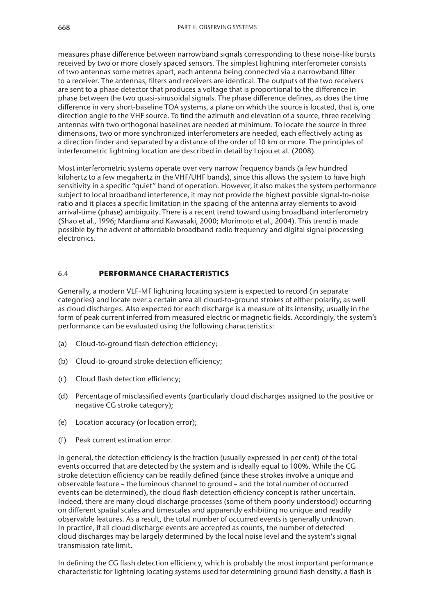measures phase difference between narrowband signals corresponding to these noise-like bursts received by two or more closely spaced sensors. The simplest lightning interferometer consists of two antennas some metres apart, each antenna being connected via a narrowband filter to a receiver. The antennas, filters and receivers are identical. The outputs of the two receivers are sent to a phase detector that produces a voltage that is proportional to the difference in phase between the two quasi-sinusoidal signals. The phase difference defines, as does the time difference in very short-baseline TOA systems, a plane on which the source is located, that is, one direction angle to the VHF source. To find the azimuth and elevation of a source, three receiving antennas with two orthogonal baselines are needed at minimum. To locate the source in three dimensions, two or more synchronized interferometers are needed, each effectively acting as a direction finder and separated by a distance of the order of 10 km or more. The principles of interferometric lightning location are described in detail by Lojou et al. (2008).

Most interferometric systems operate over very narrow frequency bands (a few hundred kilohertz to a few megahertz in the VHF/UHF bands), since this allows the system to have high sensitivity in a specific "quiet" band of operation. However, it also makes the system performance subject to local broadband interference, it may not provide the highest possible signal-to-noise ratio and it places a specific limitation in the spacing of the antenna array elements to avoid arrival-time (phase) ambiguity. There is a recent trend toward using broadband interferometry (Shao et al., 1996; Mardiana and Kawasaki, 2000; Morimoto et al., 2004). This trend is made possible by the advent of affordable broadband radio frequency and digital signal processing electronics.

# 6.4 **PERFORMANCE CHARACTERISTICS**

Generally, a modern VLF-MF lightning locating system is expected to record (in separate categories) and locate over a certain area all cloud-to-ground strokes of either polarity, as well as cloud discharges. Also expected for each discharge is a measure of its intensity, usually in the form of peak current inferred from measured electric or magnetic fields. Accordingly, the system's performance can be evaluated using the following characteristics:

- (a) Cloud-to-ground flash detection efficiency;
- (b) Cloud-to-ground stroke detection efficiency;
- (c) Cloud flash detection efficiency;
- (d) Percentage of misclassified events (particularly cloud discharges assigned to the positive or negative CG stroke category);
- (e) Location accuracy (or location error);
- (f) Peak current estimation error.

In general, the detection efficiency is the fraction (usually expressed in per cent) of the total events occurred that are detected by the system and is ideally equal to 100%. While the CG stroke detection efficiency can be readily defined (since these strokes involve a unique and observable feature – the luminous channel to ground – and the total number of occurred events can be determined), the cloud flash detection efficiency concept is rather uncertain. Indeed, there are many cloud discharge processes (some of them poorly understood) occurring on different spatial scales and timescales and apparently exhibiting no unique and readily observable features. As a result, the total number of occurred events is generally unknown. In practice, if all cloud discharge events are accepted as counts, the number of detected cloud discharges may be largely determined by the local noise level and the system's signal transmission rate limit.

In defining the CG flash detection efficiency, which is probably the most important performance characteristic for lightning locating systems used for determining ground flash density, a flash is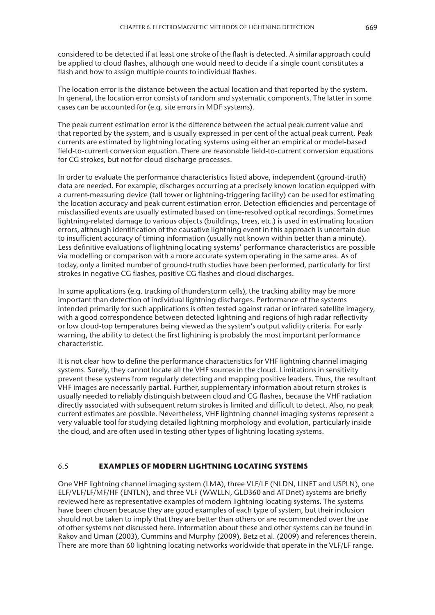considered to be detected if at least one stroke of the flash is detected. A similar approach could be applied to cloud flashes, although one would need to decide if a single count constitutes a flash and how to assign multiple counts to individual flashes.

The location error is the distance between the actual location and that reported by the system. In general, the location error consists of random and systematic components. The latter in some cases can be accounted for (e.g. site errors in MDF systems).

The peak current estimation error is the difference between the actual peak current value and that reported by the system, and is usually expressed in per cent of the actual peak current. Peak currents are estimated by lightning locating systems using either an empirical or model-based field-to-current conversion equation. There are reasonable field-to-current conversion equations for CG strokes, but not for cloud discharge processes.

In order to evaluate the performance characteristics listed above, independent (ground-truth) data are needed. For example, discharges occurring at a precisely known location equipped with a current-measuring device (tall tower or lightning-triggering facility) can be used for estimating the location accuracy and peak current estimation error. Detection efficiencies and percentage of misclassified events are usually estimated based on time-resolved optical recordings. Sometimes lightning-related damage to various objects (buildings, trees, etc.) is used in estimating location errors, although identification of the causative lightning event in this approach is uncertain due to insufficient accuracy of timing information (usually not known within better than a minute). Less definitive evaluations of lightning locating systems' performance characteristics are possible via modelling or comparison with a more accurate system operating in the same area. As of today, only a limited number of ground-truth studies have been performed, particularly for first strokes in negative CG flashes, positive CG flashes and cloud discharges.

In some applications (e.g. tracking of thunderstorm cells), the tracking ability may be more important than detection of individual lightning discharges. Performance of the systems intended primarily for such applications is often tested against radar or infrared satellite imagery, with a good correspondence between detected lightning and regions of high radar reflectivity or low cloud-top temperatures being viewed as the system's output validity criteria. For early warning, the ability to detect the first lightning is probably the most important performance characteristic.

It is not clear how to define the performance characteristics for VHF lightning channel imaging systems. Surely, they cannot locate all the VHF sources in the cloud. Limitations in sensitivity prevent these systems from regularly detecting and mapping positive leaders. Thus, the resultant VHF images are necessarily partial. Further, supplementary information about return strokes is usually needed to reliably distinguish between cloud and CG flashes, because the VHF radiation directly associated with subsequent return strokes is limited and difficult to detect. Also, no peak current estimates are possible. Nevertheless, VHF lightning channel imaging systems represent a very valuable tool for studying detailed lightning morphology and evolution, particularly inside the cloud, and are often used in testing other types of lightning locating systems.

#### 6.5 **EXAMPLES OF MODERN LIGHTNING LOCATING SYSTEMS**

One VHF lightning channel imaging system (LMA), three VLF/LF (NLDN, LINET and USPLN), one ELF/VLF/LF/MF/HF (ENTLN), and three VLF (WWLLN, GLD360 and ATDnet) systems are briefly reviewed here as representative examples of modern lightning locating systems. The systems have been chosen because they are good examples of each type of system, but their inclusion should not be taken to imply that they are better than others or are recommended over the use of other systems not discussed here. Information about these and other systems can be found in Rakov and Uman (2003), Cummins and Murphy (2009), Betz et al. (2009) and references therein. There are more than 60 lightning locating networks worldwide that operate in the VLF/LF range.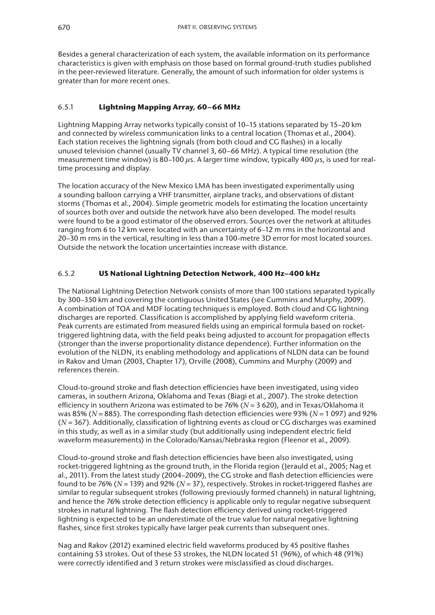Besides a general characterization of each system, the available information on its performance characteristics is given with emphasis on those based on formal ground-truth studies published in the peer-reviewed literature. Generally, the amount of such information for older systems is greater than for more recent ones.

# 6.5.1 **Lightning Mapping Array, 60–66 MHz**

Lightning Mapping Array networks typically consist of 10–15 stations separated by 15–20 km and connected by wireless communication links to a central location (Thomas et al., 2004). Each station receives the lightning signals (from both cloud and CG flashes) in a locally unused television channel (usually TV channel 3, 60–66 MHz). A typical time resolution (the measurement time window) is 80–100 *µ*s. A larger time window, typically 400 *µ*s, is used for realtime processing and display.

The location accuracy of the New Mexico LMA has been investigated experimentally using a sounding balloon carrying a VHF transmitter, airplane tracks, and observations of distant storms (Thomas et al., 2004). Simple geometric models for estimating the location uncertainty of sources both over and outside the network have also been developed. The model results were found to be a good estimator of the observed errors. Sources over the network at altitudes ranging from 6 to 12 km were located with an uncertainty of 6–12 m rms in the horizontal and 20–30 m rms in the vertical, resulting in less than a 100-metre 3D error for most located sources. Outside the network the location uncertainties increase with distance.

# 6.5.2 **US National Lightning Detection Network, 400 Hz–400 kHz**

The National Lightning Detection Network consists of more than 100 stations separated typically by 300–350 km and covering the contiguous United States (see Cummins and Murphy, 2009). A combination of TOA and MDF locating techniques is employed. Both cloud and CG lightning discharges are reported. Classification is accomplished by applying field waveform criteria. Peak currents are estimated from measured fields using an empirical formula based on rockettriggered lightning data, with the field peaks being adjusted to account for propagation effects (stronger than the inverse proportionality distance dependence). Further information on the evolution of the NLDN, its enabling methodology and applications of NLDN data can be found in Rakov and Uman (2003, Chapter 17), Orville (2008), Cummins and Murphy (2009) and references therein.

Cloud-to-ground stroke and flash detection efficiencies have been investigated, using video cameras, in southern Arizona, Oklahoma and Texas (Biagi et al., 2007). The stroke detection efficiency in southern Arizona was estimated to be 76% (*N* = 3 620), and in Texas/Oklahoma it was 85% (*N* = 885). The corresponding flash detection efficiencies were 93% (*N* = 1 097) and 92% (*N* = 367). Additionally, classification of lightning events as cloud or CG discharges was examined in this study, as well as in a similar study (but additionally using independent electric field waveform measurements) in the Colorado/Kansas/Nebraska region (Fleenor et al., 2009).

Cloud-to-ground stroke and flash detection efficiencies have been also investigated, using rocket-triggered lightning as the ground truth, in the Florida region (Jerauld et al., 2005; Nag et al., 2011). From the latest study (2004–2009), the CG stroke and flash detection efficiencies were found to be 76% (*N* = 139) and 92% (*N* = 37), respectively. Strokes in rocket-triggered flashes are similar to regular subsequent strokes (following previously formed channels) in natural lightning, and hence the 76% stroke detection efficiency is applicable only to regular negative subsequent strokes in natural lightning. The flash detection efficiency derived using rocket-triggered lightning is expected to be an underestimate of the true value for natural negative lightning flashes, since first strokes typically have larger peak currents than subsequent ones.

Nag and Rakov (2012) examined electric field waveforms produced by 45 positive flashes containing 53 strokes. Out of these 53 strokes, the NLDN located 51 (96%), of which 48 (91%) were correctly identified and 3 return strokes were misclassified as cloud discharges.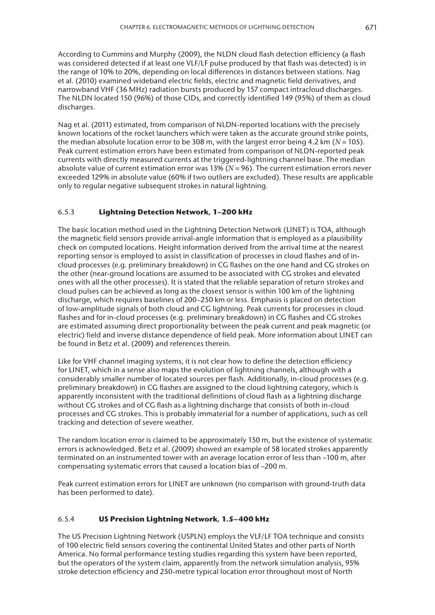According to Cummins and Murphy (2009), the NLDN cloud flash detection efficiency (a flash was considered detected if at least one VLF/LF pulse produced by that flash was detected) is in the range of 10% to 20%, depending on local differences in distances between stations. Nag et al. (2010) examined wideband electric fields, electric and magnetic field derivatives, and narrowband VHF (36 MHz) radiation bursts produced by 157 compact intracloud discharges. The NLDN located 150 (96%) of those CIDs, and correctly identified 149 (95%) of them as cloud discharges.

Nag et al. (2011) estimated, from comparison of NLDN-reported locations with the precisely known locations of the rocket launchers which were taken as the accurate ground strike points, the median absolute location error to be 308 m, with the largest error being 4.2 km ( $N = 105$ ). Peak current estimation errors have been estimated from comparison of NLDN-reported peak currents with directly measured currents at the triggered-lightning channel base. The median absolute value of current estimation error was 13% (*N* = 96). The current estimation errors never exceeded 129% in absolute value (60% if two outliers are excluded). These results are applicable only to regular negative subsequent strokes in natural lightning.

## 6.5.3 **Lightning Detection Network, 1–200 kHz**

The basic location method used in the Lightning Detection Network (LINET) is TOA, although the magnetic field sensors provide arrival-angle information that is employed as a plausibility check on computed locations. Height information derived from the arrival time at the nearest reporting sensor is employed to assist in classification of processes in cloud flashes and of incloud processes (e.g. preliminary breakdown) in CG flashes on the one hand and CG strokes on the other (near-ground locations are assumed to be associated with CG strokes and elevated ones with all the other processes). It is stated that the reliable separation of return strokes and cloud pulses can be achieved as long as the closest sensor is within 100 km of the lightning discharge, which requires baselines of 200–250 km or less. Emphasis is placed on detection of low-amplitude signals of both cloud and CG lightning. Peak currents for processes in cloud flashes and for in-cloud processes (e.g. preliminary breakdown) in CG flashes and CG strokes are estimated assuming direct proportionality between the peak current and peak magnetic (or electric) field and inverse distance dependence of field peak. More information about LINET can be found in Betz et al. (2009) and references therein.

Like for VHF channel imaging systems, it is not clear how to define the detection efficiency for LINET, which in a sense also maps the evolution of lightning channels, although with a considerably smaller number of located sources per flash. Additionally, in-cloud processes (e.g. preliminary breakdown) in CG flashes are assigned to the cloud lightning category, which is apparently inconsistent with the traditional definitions of cloud flash as a lightning discharge without CG strokes and of CG flash as a lightning discharge that consists of both in-cloud processes and CG strokes. This is probably immaterial for a number of applications, such as cell tracking and detection of severe weather.

The random location error is claimed to be approximately 150 m, but the existence of systematic errors is acknowledged. Betz et al. (2009) showed an example of 58 located strokes apparently terminated on an instrumented tower with an average location error of less than ~100 m, after compensating systematic errors that caused a location bias of ~200 m.

Peak current estimation errors for LINET are unknown (no comparison with ground-truth data has been performed to date).

## 6.5.4 **US Precision Lightning Network, 1.5–400 kHz**

The US Precision Lightning Network (USPLN) employs the VLF/LF TOA technique and consists of 100 electric field sensors covering the continental United States and other parts of North America. No formal performance testing studies regarding this system have been reported, but the operators of the system claim, apparently from the network simulation analysis, 95% stroke detection efficiency and 250-metre typical location error throughout most of North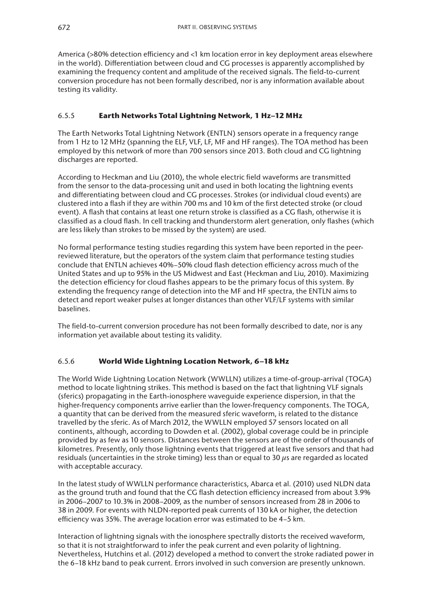America (>80% detection efficiency and <1 km location error in key deployment areas elsewhere in the world). Differentiation between cloud and CG processes is apparently accomplished by examining the frequency content and amplitude of the received signals. The field-to-current conversion procedure has not been formally described, nor is any information available about testing its validity.

# 6.5.5 **Earth Networks Total Lightning Network, 1 Hz–12 MHz**

The Earth Networks Total Lightning Network (ENTLN) sensors operate in a frequency range from 1 Hz to 12 MHz (spanning the ELF, VLF, LF, MF and HF ranges). The TOA method has been employed by this network of more than 700 sensors since 2013. Both cloud and CG lightning discharges are reported.

According to Heckman and Liu (2010), the whole electric field waveforms are transmitted from the sensor to the data-processing unit and used in both locating the lightning events and differentiating between cloud and CG processes. Strokes (or individual cloud events) are clustered into a flash if they are within 700 ms and 10 km of the first detected stroke (or cloud event). A flash that contains at least one return stroke is classified as a CG flash, otherwise it is classified as a cloud flash. In cell tracking and thunderstorm alert generation, only flashes (which are less likely than strokes to be missed by the system) are used.

No formal performance testing studies regarding this system have been reported in the peerreviewed literature, but the operators of the system claim that performance testing studies conclude that ENTLN achieves 40%–50% cloud flash detection efficiency across much of the United States and up to 95% in the US Midwest and East (Heckman and Liu, 2010). Maximizing the detection efficiency for cloud flashes appears to be the primary focus of this system. By extending the frequency range of detection into the MF and HF spectra, the ENTLN aims to detect and report weaker pulses at longer distances than other VLF/LF systems with similar baselines.

The field-to-current conversion procedure has not been formally described to date, nor is any information yet available about testing its validity.

# 6.5.6 **World Wide Lightning Location Network, 6–18 kHz**

The World Wide Lightning Location Network (WWLLN) utilizes a time-of-group-arrival (TOGA) method to locate lightning strikes. This method is based on the fact that lightning VLF signals (sferics) propagating in the Earth-ionosphere waveguide experience dispersion, in that the higher-frequency components arrive earlier than the lower-frequency components. The TOGA, a quantity that can be derived from the measured sferic waveform, is related to the distance travelled by the sferic. As of March 2012, the WWLLN employed 57 sensors located on all continents, although, according to Dowden et al. (2002), global coverage could be in principle provided by as few as 10 sensors. Distances between the sensors are of the order of thousands of kilometres. Presently, only those lightning events that triggered at least five sensors and that had residuals (uncertainties in the stroke timing) less than or equal to 30 *µ*s are regarded as located with acceptable accuracy.

In the latest study of WWLLN performance characteristics, Abarca et al. (2010) used NLDN data as the ground truth and found that the CG flash detection efficiency increased from about 3.9% in 2006–2007 to 10.3% in 2008–2009, as the number of sensors increased from 28 in 2006 to 38 in 2009. For events with NLDN-reported peak currents of 130 kA or higher, the detection efficiency was 35%. The average location error was estimated to be 4–5 km.

Interaction of lightning signals with the ionosphere spectrally distorts the received waveform, so that it is not straightforward to infer the peak current and even polarity of lightning. Nevertheless, Hutchins et al. (2012) developed a method to convert the stroke radiated power in the 6–18 kHz band to peak current. Errors involved in such conversion are presently unknown.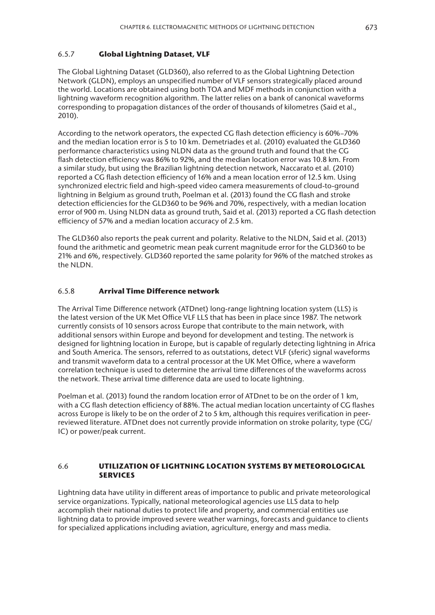## 6.5.7 **Global Lightning Dataset, VLF**

The Global Lightning Dataset (GLD360), also referred to as the Global Lightning Detection Network (GLDN), employs an unspecified number of VLF sensors strategically placed around the world. Locations are obtained using both TOA and MDF methods in conjunction with a lightning waveform recognition algorithm. The latter relies on a bank of canonical waveforms corresponding to propagation distances of the order of thousands of kilometres (Said et al., 2010).

According to the network operators, the expected CG flash detection efficiency is 60%–70% and the median location error is 5 to 10 km. Demetriades et al. (2010) evaluated the GLD360 performance characteristics using NLDN data as the ground truth and found that the CG flash detection efficiency was 86% to 92%, and the median location error was 10.8 km. From a similar study, but using the Brazilian lightning detection network, Naccarato et al. (2010) reported a CG flash detection efficiency of 16% and a mean location error of 12.5 km. Using synchronized electric field and high-speed video camera measurements of cloud-to-ground lightning in Belgium as ground truth, Poelman et al. (2013) found the CG flash and stroke detection efficiencies for the GLD360 to be 96% and 70%, respectively, with a median location error of 900 m. Using NLDN data as ground truth, Said et al. (2013) reported a CG flash detection efficiency of 57% and a median location accuracy of 2.5 km.

The GLD360 also reports the peak current and polarity. Relative to the NLDN, Said et al. (2013) found the arithmetic and geometric mean peak current magnitude error for the GLD360 to be 21% and 6%, respectively. GLD360 reported the same polarity for 96% of the matched strokes as the NLDN.

### 6.5.8 **Arrival Time Difference network**

The Arrival Time Difference network (ATDnet) long-range lightning location system (LLS) is the latest version of the UK Met Office VLF LLS that has been in place since 1987. The network currently consists of 10 sensors across Europe that contribute to the main network, with additional sensors within Europe and beyond for development and testing. The network is designed for lightning location in Europe, but is capable of regularly detecting lightning in Africa and South America. The sensors, referred to as outstations, detect VLF (sferic) signal waveforms and transmit waveform data to a central processor at the UK Met Office, where a waveform correlation technique is used to determine the arrival time differences of the waveforms across the network. These arrival time difference data are used to locate lightning.

Poelman et al. (2013) found the random location error of ATDnet to be on the order of 1 km, with a CG flash detection efficiency of 88%. The actual median location uncertainty of CG flashes across Europe is likely to be on the order of 2 to 5 km, although this requires verification in peerreviewed literature. ATDnet does not currently provide information on stroke polarity, type (CG/ IC) or power/peak current.

### 6.6 **UTILIZATION OF LIGHTNING LOCATION SYSTEMS BY METEOROLOGICAL SERVICES**

Lightning data have utility in different areas of importance to public and private meteorological service organizations. Typically, national meteorological agencies use LLS data to help accomplish their national duties to protect life and property, and commercial entities use lightning data to provide improved severe weather warnings, forecasts and guidance to clients for specialized applications including aviation, agriculture, energy and mass media.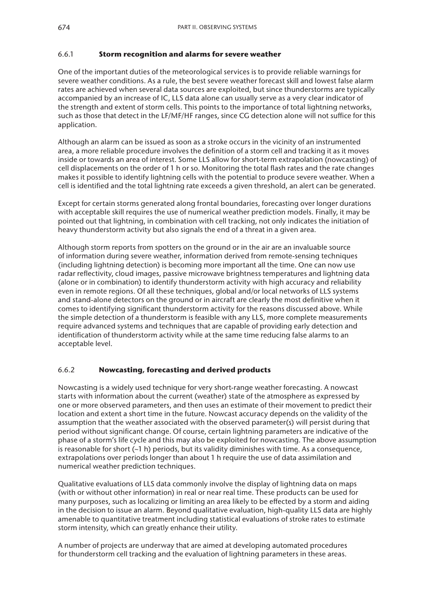# 6.6.1 **Storm recognition and alarms for severe weather**

One of the important duties of the meteorological services is to provide reliable warnings for severe weather conditions. As a rule, the best severe weather forecast skill and lowest false alarm rates are achieved when several data sources are exploited, but since thunderstorms are typically accompanied by an increase of IC, LLS data alone can usually serve as a very clear indicator of the strength and extent of storm cells. This points to the importance of total lightning networks, such as those that detect in the LF/MF/HF ranges, since CG detection alone will not suffice for this application.

Although an alarm can be issued as soon as a stroke occurs in the vicinity of an instrumented area, a more reliable procedure involves the definition of a storm cell and tracking it as it moves inside or towards an area of interest. Some LLS allow for short-term extrapolation (nowcasting) of cell displacements on the order of 1 h or so. Monitoring the total flash rates and the rate changes makes it possible to identify lightning cells with the potential to produce severe weather. When a cell is identified and the total lightning rate exceeds a given threshold, an alert can be generated.

Except for certain storms generated along frontal boundaries, forecasting over longer durations with acceptable skill requires the use of numerical weather prediction models. Finally, it may be pointed out that lightning, in combination with cell tracking, not only indicates the initiation of heavy thunderstorm activity but also signals the end of a threat in a given area.

Although storm reports from spotters on the ground or in the air are an invaluable source of information during severe weather, information derived from remote-sensing techniques (including lightning detection) is becoming more important all the time. One can now use radar reflectivity, cloud images, passive microwave brightness temperatures and lightning data (alone or in combination) to identify thunderstorm activity with high accuracy and reliability even in remote regions. Of all these techniques, global and/or local networks of LLS systems and stand-alone detectors on the ground or in aircraft are clearly the most definitive when it comes to identifying significant thunderstorm activity for the reasons discussed above. While the simple detection of a thunderstorm is feasible with any LLS, more complete measurements require advanced systems and techniques that are capable of providing early detection and identification of thunderstorm activity while at the same time reducing false alarms to an acceptable level.

# 6.6.2 **Nowcasting, forecasting and derived products**

Nowcasting is a widely used technique for very short-range weather forecasting. A nowcast starts with information about the current (weather) state of the atmosphere as expressed by one or more observed parameters, and then uses an estimate of their movement to predict their location and extent a short time in the future. Nowcast accuracy depends on the validity of the assumption that the weather associated with the observed parameter(s) will persist during that period without significant change. Of course, certain lightning parameters are indicative of the phase of a storm's life cycle and this may also be exploited for nowcasting. The above assumption is reasonable for short  $(\sim 1 \text{ h})$  periods, but its validity diminishes with time. As a consequence, extrapolations over periods longer than about 1 h require the use of data assimilation and numerical weather prediction techniques.

Qualitative evaluations of LLS data commonly involve the display of lightning data on maps (with or without other information) in real or near real time. These products can be used for many purposes, such as localizing or limiting an area likely to be effected by a storm and aiding in the decision to issue an alarm. Beyond qualitative evaluation, high-quality LLS data are highly amenable to quantitative treatment including statistical evaluations of stroke rates to estimate storm intensity, which can greatly enhance their utility.

A number of projects are underway that are aimed at developing automated procedures for thunderstorm cell tracking and the evaluation of lightning parameters in these areas.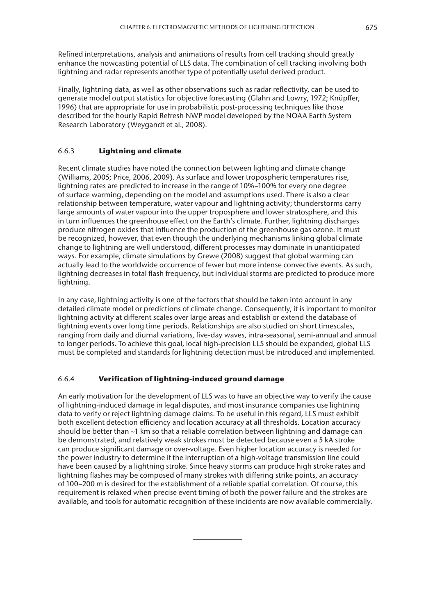Refined interpretations, analysis and animations of results from cell tracking should greatly enhance the nowcasting potential of LLS data. The combination of cell tracking involving both lightning and radar represents another type of potentially useful derived product.

Finally, lightning data, as well as other observations such as radar reflectivity, can be used to generate model output statistics for objective forecasting (Glahn and Lowry, 1972; Knüpffer, 1996) that are appropriate for use in probabilistic post-processing techniques like those described for the hourly Rapid Refresh NWP model developed by the NOAA Earth System Research Laboratory (Weygandt et al., 2008).

### 6.6.3 **Lightning and climate**

Recent climate studies have noted the connection between lighting and climate change (Williams, 2005; Price, 2006, 2009). As surface and lower tropospheric temperatures rise, lightning rates are predicted to increase in the range of 10%–100% for every one degree of surface warming, depending on the model and assumptions used. There is also a clear relationship between temperature, water vapour and lightning activity; thunderstorms carry large amounts of water vapour into the upper troposphere and lower stratosphere, and this in turn influences the greenhouse effect on the Earth's climate. Further, lightning discharges produce nitrogen oxides that influence the production of the greenhouse gas ozone. It must be recognized, however, that even though the underlying mechanisms linking global climate change to lightning are well understood, different processes may dominate in unanticipated ways. For example, climate simulations by Grewe (2008) suggest that global warming can actually lead to the worldwide occurrence of fewer but more intense convective events. As such, lightning decreases in total flash frequency, but individual storms are predicted to produce more lightning.

In any case, lightning activity is one of the factors that should be taken into account in any detailed climate model or predictions of climate change. Consequently, it is important to monitor lightning activity at different scales over large areas and establish or extend the database of lightning events over long time periods. Relationships are also studied on short timescales, ranging from daily and diurnal variations, five-day waves, intra-seasonal, semi-annual and annual to longer periods. To achieve this goal, local high-precision LLS should be expanded, global LLS must be completed and standards for lightning detection must be introduced and implemented.

## 6.6.4 **Verification of lightning-induced ground damage**

An early motivation for the development of LLS was to have an objective way to verify the cause of lightning-induced damage in legal disputes, and most insurance companies use lightning data to verify or reject lightning damage claims. To be useful in this regard, LLS must exhibit both excellent detection efficiency and location accuracy at all thresholds. Location accuracy should be better than ~1 km so that a reliable correlation between lightning and damage can be demonstrated, and relatively weak strokes must be detected because even a 5 kA stroke can produce significant damage or over-voltage. Even higher location accuracy is needed for the power industry to determine if the interruption of a high-voltage transmission line could have been caused by a lightning stroke. Since heavy storms can produce high stroke rates and lightning flashes may be composed of many strokes with differing strike points, an accuracy of 100–200 m is desired for the establishment of a reliable spatial correlation. Of course, this requirement is relaxed when precise event timing of both the power failure and the strokes are available, and tools for automatic recognition of these incidents are now available commercially.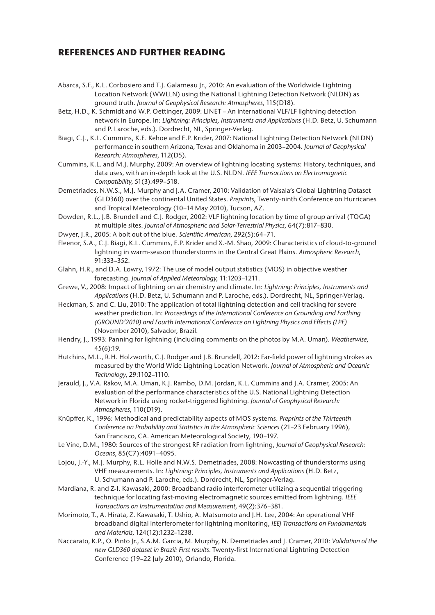# **REFERENCES AND FURTHER READING**

- Abarca, S.F., K.L. Corbosiero and T.J. Galarneau Jr., 2010: An evaluation of the Worldwide Lightning Location Network (WWLLN) using the National Lightning Detection Network (NLDN) as ground truth. *Journal of Geophysical Research: Atmospheres*, 115(D18).
- Betz, H.D., K. Schmidt and W.P. Oettinger, 2009: LINET An international VLF/LF lightning detection network in Europe. In: *Lightning: Principles, Instruments and Applications* (H.D. Betz, U. Schumann and P. Laroche, eds.). Dordrecht, NL, Springer-Verlag.
- Biagi, C.J., K.L. Cummins, K.E. Kehoe and E.P. Krider, 2007: National Lightning Detection Network (NLDN) performance in southern Arizona, Texas and Oklahoma in 2003–2004. *Journal of Geophysical Research: Atmospheres*, 112(D5).
- Cummins, K.L. and M.J. Murphy, 2009: An overview of lightning locating systems: History, techniques, and data uses, with an in-depth look at the U.S. NLDN. *IEEE Transactions on Electromagnetic Compatibility*, 51(3):499–518.
- Demetriades, N.W.S., M.J. Murphy and J.A. Cramer, 2010: Validation of Vaisala's Global Lightning Dataset (GLD360) over the continental United States. *Preprints*, Twenty-ninth Conference on Hurricanes and Tropical Meteorology (10–14 May 2010), Tucson, AZ.
- Dowden, R.L., J.B. Brundell and C.J. Rodger, 2002: VLF lightning location by time of group arrival (TOGA) at multiple sites. *Journal of Atmospheric and Solar-Terrestrial Physics*, 64(7):817–830.
- Dwyer, J.R., 2005: A bolt out of the blue. *Scientific American*, 292(5):64–71.
- Fleenor, S.A., C.J. Biagi, K.L. Cummins, E.P. Krider and X.-M. Shao, 2009: Characteristics of cloud-to-ground lightning in warm-season thunderstorms in the Central Great Plains. *Atmospheric Research*, 91:333–352.
- Glahn, H.R., and D.A. Lowry, 1972: The use of model output statistics (MOS) in objective weather forecasting. *Journal of Applied Meteorology*, 11:1203–1211.
- Grewe, V., 2008: Impact of lightning on air chemistry and climate. In: *Lightning: Principles, Instruments and Applications* (H.D. Betz, U. Schumann and P. Laroche, eds.). Dordrecht, NL, Springer-Verlag.
- Heckman, S. and C. Liu, 2010: The application of total lightning detection and cell tracking for severe weather prediction. In: *Proceedings of the International Conference on Grounding and Earthing (GROUND'2010) and Fourth International Conference on Lightning Physics and Effects (LPE)* (November 2010), Salvador, Brazil.
- Hendry, J., 1993: Panning for lightning (including comments on the photos by M.A. Uman). *Weatherwise*, 45(6):19.
- Hutchins, M.L., R.H. Holzworth, C.J. Rodger and J.B. Brundell, 2012: Far-field power of lightning strokes as measured by the World Wide Lightning Location Network. *Journal of Atmospheric and Oceanic Technology*, 29:1102–1110.
- Jerauld, J., V.A. Rakov, M.A. Uman, K.J. Rambo, D.M. Jordan, K.L. Cummins and J.A. Cramer, 2005: An evaluation of the performance characteristics of the U.S. National Lightning Detection Network in Florida using rocket-triggered lightning. *Journal of Geophysical Research: Atmospheres*, 110(D19).
- Knüpffer, K., 1996: Methodical and predictability aspects of MOS systems. *Preprints of the Thirteenth Conference on Probability and Statistics in the Atmospheric Sciences* (21–23 February 1996), San Francisco, CA. American Meteorological Society, 190–197.
- Le Vine, D.M., 1980: Sources of the strongest RF radiation from lightning, *Journal of Geophysical Research: Oceans*, 85(C7):4091–4095.
- Lojou, J.-Y., M.J. Murphy, R.L. Holle and N.W.S. Demetriades, 2008: Nowcasting of thunderstorms using VHF measurements. In: *Lightning: Principles, Instruments and Applications* (H.D. Betz, U. Schumann and P. Laroche, eds.). Dordrecht, NL, Springer-Verlag.
- Mardiana, R. and Z-I. Kawasaki, 2000: Broadband radio interferometer utilizing a sequential triggering technique for locating fast-moving electromagnetic sources emitted from lightning. *IEEE Transactions on Instrumentation and Measurement*, 49(2):376–381.
- Morimoto, T., A. Hirata, Z. Kawasaki, T. Ushio, A. Matsumoto and J.H. Lee, 2004: An operational VHF broadband digital interferometer for lightning monitoring, *IEEJ Transactions on Fundamentals and Materials*, 124(12):1232–1238.
- Naccarato, K.P., O. Pinto Jr., S.A.M. Garcia, M. Murphy, N. Demetriades and J. Cramer, 2010: *Validation of the new GLD360 dataset in Brazil: First results*. Twenty-first International Lightning Detection Conference (19–22 July 2010), Orlando, Florida.